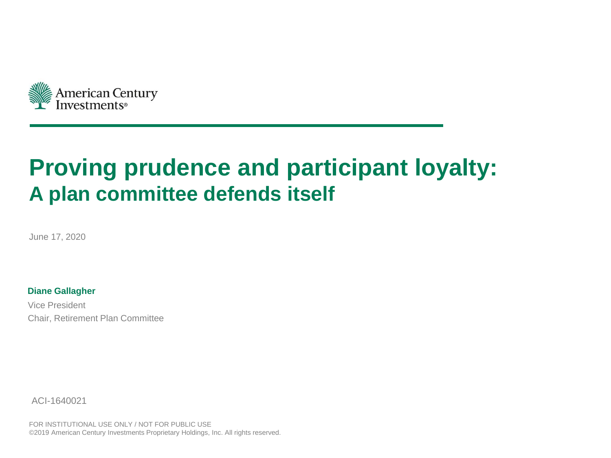

# **Proving prudence and participant loyalty: A plan committee defends itself**

June 17, 2020

**Diane Gallagher**

Vice President Chair, Retirement Plan Committee

ACI-1640021

FOR INSTITUTIONAL USE ONLY / NOT FOR PUBLIC USE ©2019 American Century Investments Proprietary Holdings, Inc. All rights reserved.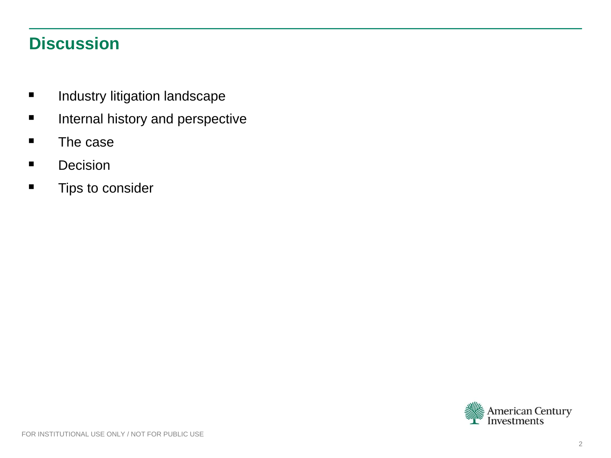# **Discussion**

- **■** Industry litigation landscape
- **■** Internal history and perspective
- The case
- Decision
- **■** Tips to consider

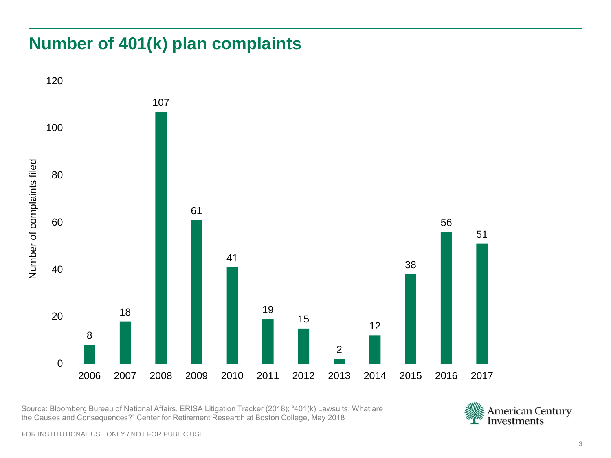# **Number of 401(k) plan complaints**



Source: Bloomberg Bureau of National Affairs, ERISA Litigation Tracker (2018); "401(k) Lawsuits: What are



FOR INSTITUTIONAL USE ONLY / NOT FOR PUBLIC USE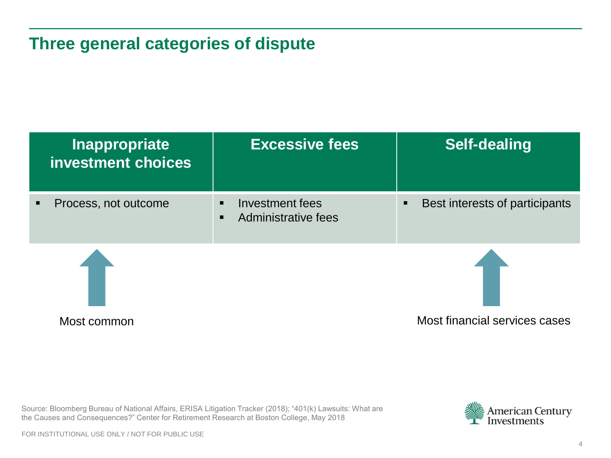# **Three general categories of dispute**

| Investment fees<br>Administrative fees | Best interests of participants<br>п |
|----------------------------------------|-------------------------------------|
|                                        | Most financial services cases       |
|                                        |                                     |



FOR INSTITUTIONAL USE ONLY / NOT FOR PUBLIC USE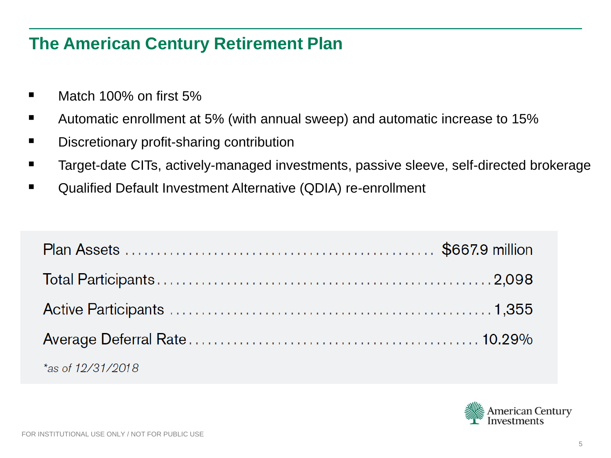# **The American Century Retirement Plan**

- Match 100% on first  $5%$
- Automatic enrollment at 5% (with annual sweep) and automatic increase to 15%
- Discretionary profit-sharing contribution
- Target-date CITs, actively-managed investments, passive sleeve, self-directed brokerage
- Qualified Default Investment Alternative (QDIA) re-enrollment

| *as of $12/31/2018$ |  |
|---------------------|--|

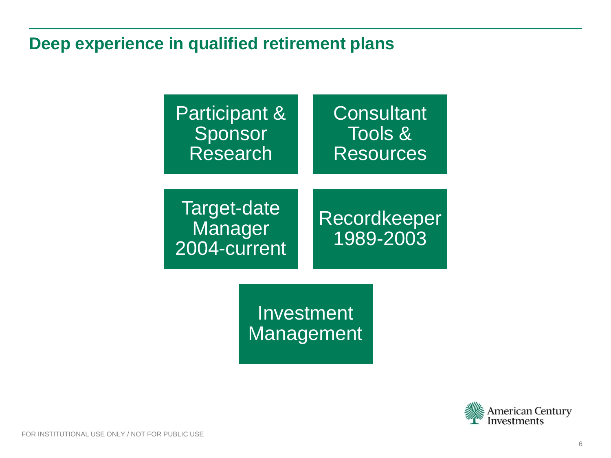# **Deep experience in qualified retirement plans**



Investment **Management** 

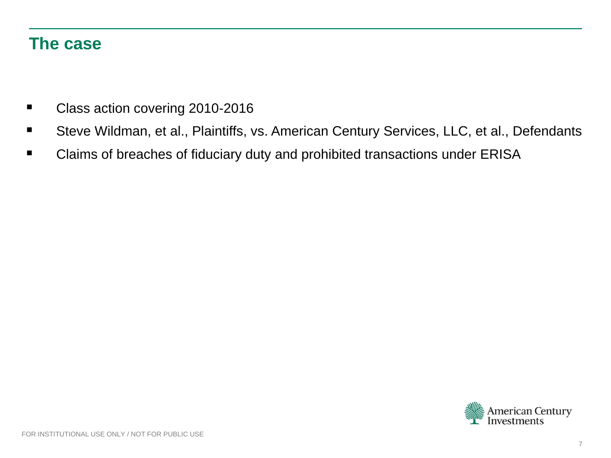#### **The case**

- Class action covering 2010-2016
- Steve Wildman, et al., Plaintiffs, vs. American Century Services, LLC, et al., Defendants
- Claims of breaches of fiduciary duty and prohibited transactions under ERISA

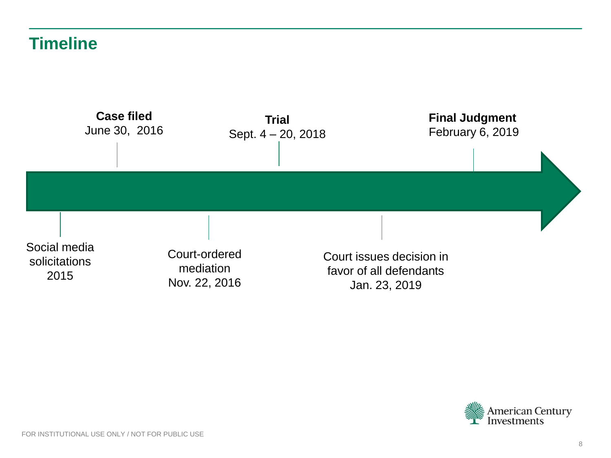# **Timeline**



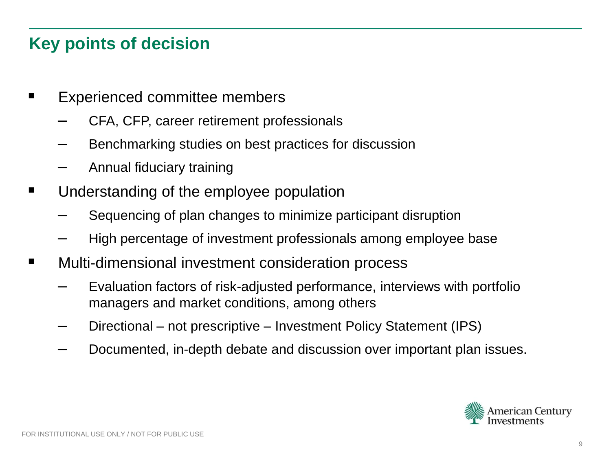# **Key points of decision**

- Experienced committee members
	- CFA, CFP, career retirement professionals
	- Benchmarking studies on best practices for discussion
	- Annual fiduciary training
- Understanding of the employee population
	- Sequencing of plan changes to minimize participant disruption
	- High percentage of investment professionals among employee base
- Multi-dimensional investment consideration process
	- Evaluation factors of risk-adjusted performance, interviews with portfolio managers and market conditions, among others
	- Directional not prescriptive Investment Policy Statement (IPS)
	- Documented, in-depth debate and discussion over important plan issues.

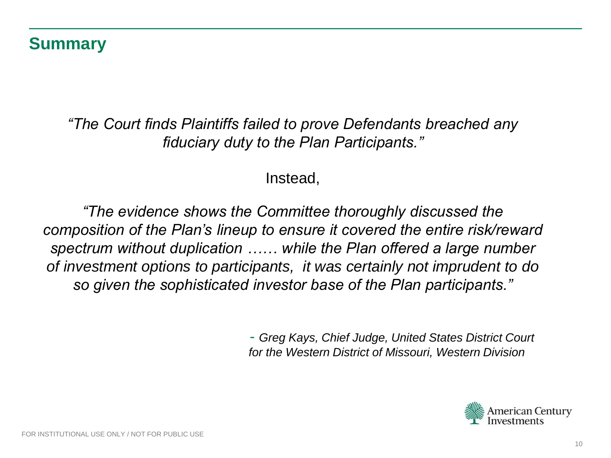### **Summary**

*"The Court finds Plaintiffs failed to prove Defendants breached any fiduciary duty to the Plan Participants."*

#### Instead,

*"The evidence shows the Committee thoroughly discussed the composition of the Plan's lineup to ensure it covered the entire risk/reward spectrum without duplication …… while the Plan offered a large number of investment options to participants, it was certainly not imprudent to do so given the sophisticated investor base of the Plan participants."*

> - *Greg Kays, Chief Judge, United States District Court for the Western District of Missouri, Western Division*

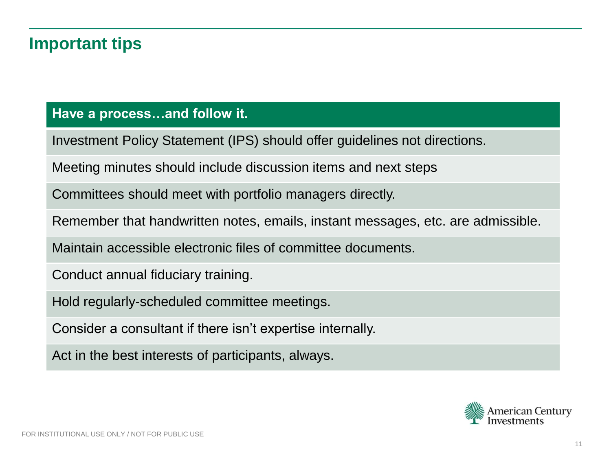# **Important tips**

#### **Have a process…and follow it.**

Investment Policy Statement (IPS) should offer guidelines not directions.

Meeting minutes should include discussion items and next steps

Committees should meet with portfolio managers directly.

Remember that handwritten notes, emails, instant messages, etc. are admissible.

Maintain accessible electronic files of committee documents.

Conduct annual fiduciary training.

Hold regularly-scheduled committee meetings.

Consider a consultant if there isn't expertise internally.

Act in the best interests of participants, always.

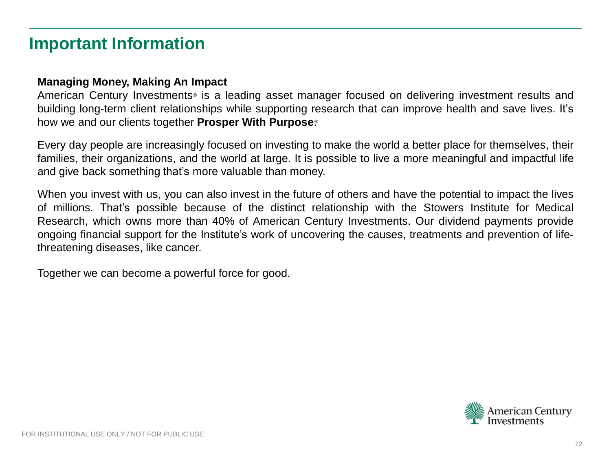## **Important Information**

#### **Managing Money, Making An Impact**

American Century Investments® is a leading asset manager focused on delivering investment results and building long-term client relationships while supporting research that can improve health and save lives. It's how we and our clients together **Prosper With Purpose**. ®

Every day people are increasingly focused on investing to make the world a better place for themselves, their families, their organizations, and the world at large. It is possible to live a more meaningful and impactful life and give back something that's more valuable than money.

When you invest with us, you can also invest in the future of others and have the potential to impact the lives of millions. That's possible because of the distinct relationship with the Stowers Institute for Medical Research, which owns more than 40% of American Century Investments. Our dividend payments provide ongoing financial support for the Institute's work of uncovering the causes, treatments and prevention of lifethreatening diseases, like cancer.

Together we can become a powerful force for good.